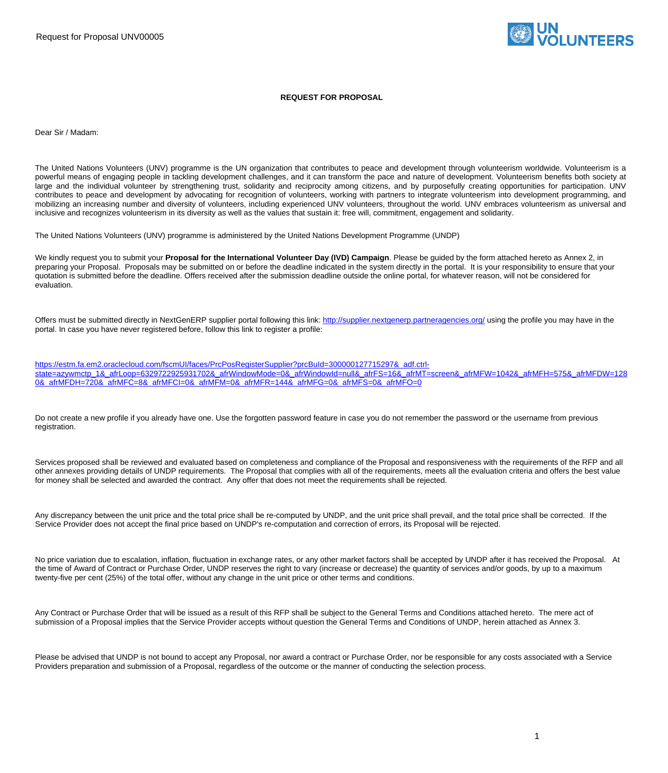Request for Proposal UNV00005



#### **REQUEST FOR PROPOSAL**

Dear Sir / Madam:

The United Nations Volunteers (UNV) programme is the UN organization that contributes to peace and development through volunteerism worldwide. Volunteerism is a powerful means of engaging people in tackling development challenges, and it can transform the pace and nature of development. Volunteerism benefits both society at large and the individual volunteer by strengthening trust, solidarity and reciprocity among citizens, and by purposefully creating opportunities for participation. UNV contributes to peace and development by advocating for recognition of volunteers, working with partners to integrate volunteerism into development programming, and mobilizing an increasing number and diversity of volunteers, including experienced UNV volunteers, throughout the world. UNV embraces volunteerism as universal and inclusive and recognizes volunteerism in its diversity as well as the values that sustain it: free will, commitment, engagement and solidarity.

The United Nations Volunteers (UNV) programme is administered by the United Nations Development Programme (UNDP)

We kindly request you to submit your **Proposal for the International Volunteer Day (IVD) Campaign**. Please be guided by the form attached hereto as Annex 2, in preparing your Proposal. Proposals may be submitted on or before the deadline indicated in the system directly in the portal. It is your responsibility to ensure that your quotation is submitted before the deadline. Offers received after the submission deadline outside the online portal, for whatever reason, will not be considered for evaluation.

Offers must be submitted directly in NextGenERP supplier portal following this link: <http://supplier.nextgenerp.partneragencies.org/>using the profile you may have in the portal. In case you have never registered before, follow this link to register a profile:

[https://estm.fa.em2.oraclecloud.com/fscmUI/faces/PrcPosRegisterSupplier?prcBuId=300000127715297&\\_adf.ctrl](https://estm.fa.em2.oraclecloud.com/fscmUI/faces/PrcPosRegisterSupplier?prcBuId=300000127715297&_adf.ctrl-state=azywmctp_1&_afrLoop=6329722925931702&_afrWindowMode=0&_afrWindowId=null&_afrFS=16&_afrMT=screen&_afrMFW=1042&_afrMFH=575&_afrMFDW=1280&_afrMFDH=720&_afrMFC=8&_afrMFCI=0&_afrMFM=0&_afrMFR=144&_afrMFG=0&_afrMFS=0&_afrMFO=0)[state=azywmctp\\_1&\\_afrLoop=6329722925931702&\\_afrWindowMode=0&\\_afrWindowId=null&\\_afrFS=16&\\_afrMT=screen&\\_afrMFW=1042&\\_afrMFH=575&\\_afrMFDW=128](https://estm.fa.em2.oraclecloud.com/fscmUI/faces/PrcPosRegisterSupplier?prcBuId=300000127715297&_adf.ctrl-state=azywmctp_1&_afrLoop=6329722925931702&_afrWindowMode=0&_afrWindowId=null&_afrFS=16&_afrMT=screen&_afrMFW=1042&_afrMFH=575&_afrMFDW=1280&_afrMFDH=720&_afrMFC=8&_afrMFCI=0&_afrMFM=0&_afrMFR=144&_afrMFG=0&_afrMFS=0&_afrMFO=0) [0&\\_afrMFDH=720&\\_afrMFC=8&\\_afrMFCI=0&\\_afrMFM=0&\\_afrMFR=144&\\_afrMFG=0&\\_afrMFS=0&\\_afrMFO=0](https://estm.fa.em2.oraclecloud.com/fscmUI/faces/PrcPosRegisterSupplier?prcBuId=300000127715297&_adf.ctrl-state=azywmctp_1&_afrLoop=6329722925931702&_afrWindowMode=0&_afrWindowId=null&_afrFS=16&_afrMT=screen&_afrMFW=1042&_afrMFH=575&_afrMFDW=1280&_afrMFDH=720&_afrMFC=8&_afrMFCI=0&_afrMFM=0&_afrMFR=144&_afrMFG=0&_afrMFS=0&_afrMFO=0)

Do not create a new profile if you already have one. Use the forgotten password feature in case you do not remember the password or the username from previous registration.

Services proposed shall be reviewed and evaluated based on completeness and compliance of the Proposal and responsiveness with the requirements of the RFP and all other annexes providing details of UNDP requirements. The Proposal that complies with all of the requirements, meets all the evaluation criteria and offers the best value for money shall be selected and awarded the contract. Any offer that does not meet the requirements shall be rejected.

Any discrepancy between the unit price and the total price shall be re-computed by UNDP, and the unit price shall prevail, and the total price shall be corrected. If the Service Provider does not accept the final price based on UNDP's re-computation and correction of errors, its Proposal will be rejected.

No price variation due to escalation, inflation, fluctuation in exchange rates, or any other market factors shall be accepted by UNDP after it has received the Proposal. At the time of Award of Contract or Purchase Order, UNDP reserves the right to vary (increase or decrease) the quantity of services and/or goods, by up to a maximum twenty-five per cent (25%) of the total offer, without any change in the unit price or other terms and conditions.

Any Contract or Purchase Order that will be issued as a result of this RFP shall be subject to the General Terms and Conditions attached hereto. The mere act of submission of a Proposal implies that the Service Provider accepts without question the General Terms and Conditions of UNDP, herein attached as Annex 3.

Please be advised that UNDP is not bound to accept any Proposal, nor award a contract or Purchase Order, nor be responsible for any costs associated with a Service Providers preparation and submission of a Proposal, regardless of the outcome or the manner of conducting the selection process.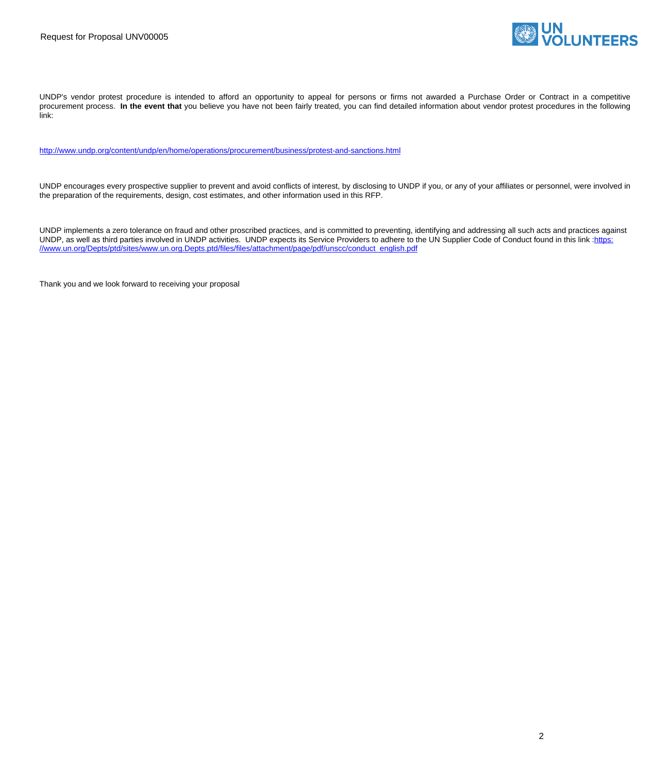

UNDP's vendor protest procedure is intended to afford an opportunity to appeal for persons or firms not awarded a Purchase Order or Contract in a competitive procurement process. **In the event that** you believe you have not been fairly treated, you can find detailed information about vendor protest procedures in the following link:

<http://www.undp.org/content/undp/en/home/operations/procurement/business/protest-and-sanctions.html>

UNDP encourages every prospective supplier to prevent and avoid conflicts of interest, by disclosing to UNDP if you, or any of your affiliates or personnel, were involved in the preparation of the requirements, design, cost estimates, and other information used in this RFP.

UNDP implements a zero tolerance on fraud and other proscribed practices, and is committed to preventing, identifying and addressing all such acts and practices against UNDP, as well as third parties involved in UNDP activities. UNDP expects its Service Providers to adhere to the UN Supplier Code of Conduct found in this link :[https:](https://www.un.org/Depts/ptd/sites/www.un.org.Depts.ptd/files/files/attachment/page/pdf/unscc/conduct_english.pdf) [//www.un.org/Depts/ptd/sites/www.un.org.Depts.ptd/files/files/attachment/page/pdf/unscc/conduct\\_english.pdf](https://www.un.org/Depts/ptd/sites/www.un.org.Depts.ptd/files/files/attachment/page/pdf/unscc/conduct_english.pdf)

Thank you and we look forward to receiving your proposal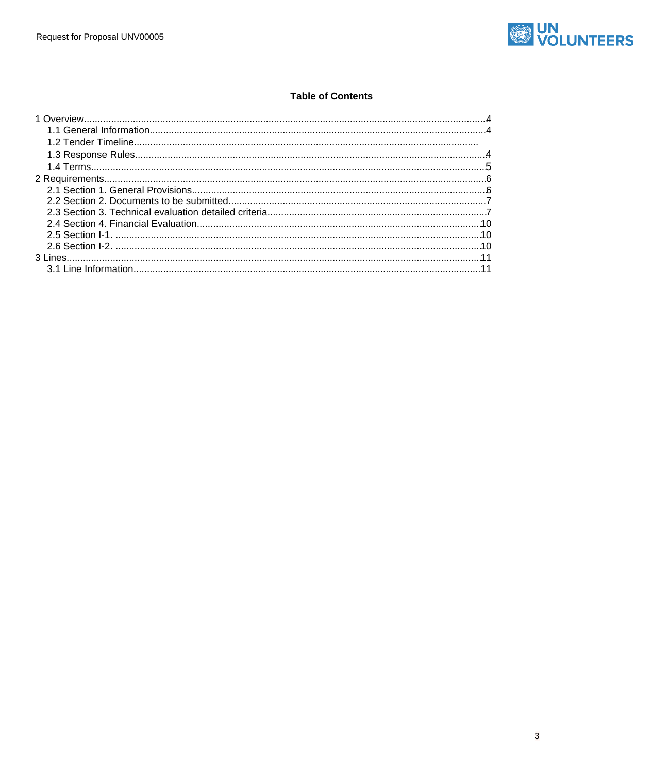

# **Table of Contents**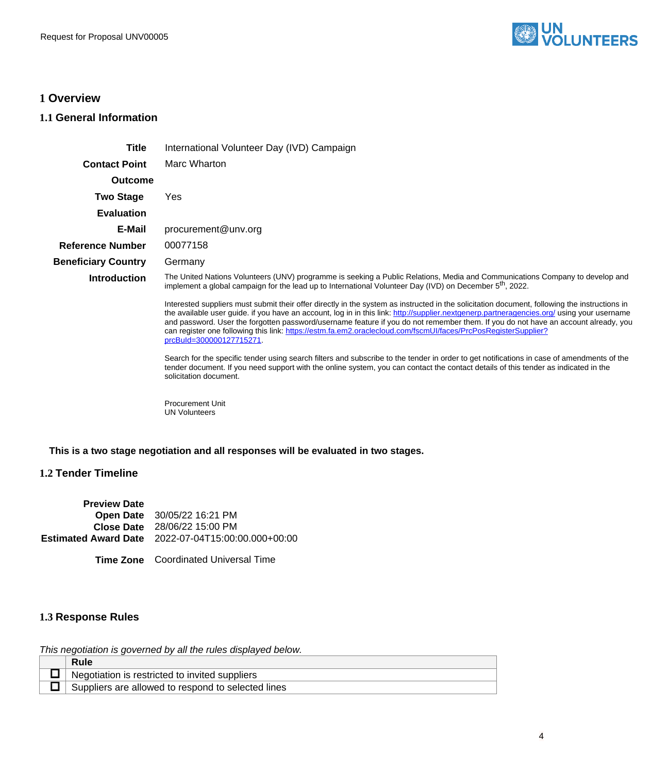

# <span id="page-3-0"></span>**1 Overview**

# <span id="page-3-1"></span>**1.1 General Information**

| Title                      | International Volunteer Day (IVD) Campaign                                                                                                                                                                                                                                                                                                                                                                                                                                                                                                                                      |  |  |  |  |  |
|----------------------------|---------------------------------------------------------------------------------------------------------------------------------------------------------------------------------------------------------------------------------------------------------------------------------------------------------------------------------------------------------------------------------------------------------------------------------------------------------------------------------------------------------------------------------------------------------------------------------|--|--|--|--|--|
| <b>Contact Point</b>       | Marc Wharton                                                                                                                                                                                                                                                                                                                                                                                                                                                                                                                                                                    |  |  |  |  |  |
| <b>Outcome</b>             |                                                                                                                                                                                                                                                                                                                                                                                                                                                                                                                                                                                 |  |  |  |  |  |
| <b>Two Stage</b>           | Yes                                                                                                                                                                                                                                                                                                                                                                                                                                                                                                                                                                             |  |  |  |  |  |
| <b>Evaluation</b>          |                                                                                                                                                                                                                                                                                                                                                                                                                                                                                                                                                                                 |  |  |  |  |  |
| E-Mail                     | procurement@unv.org                                                                                                                                                                                                                                                                                                                                                                                                                                                                                                                                                             |  |  |  |  |  |
| <b>Reference Number</b>    | 00077158                                                                                                                                                                                                                                                                                                                                                                                                                                                                                                                                                                        |  |  |  |  |  |
| <b>Beneficiary Country</b> | Germany                                                                                                                                                                                                                                                                                                                                                                                                                                                                                                                                                                         |  |  |  |  |  |
| <b>Introduction</b>        | The United Nations Volunteers (UNV) programme is seeking a Public Relations, Media and Communications Company to develop and<br>implement a global campaign for the lead up to International Volunteer Day (IVD) on December $5th$ , 2022.                                                                                                                                                                                                                                                                                                                                      |  |  |  |  |  |
|                            | Interested suppliers must submit their offer directly in the system as instructed in the solicitation document, following the instructions in<br>the available user guide. if you have an account, log in in this link: http://supplier.nextgenerp.partneragencies.org/ using your username<br>and password. User the forgotten password/username feature if you do not remember them. If you do not have an account already, you<br>can register one following this link: https://estm.fa.em2.oraclecloud.com/fscmUI/faces/PrcPosRegisterSupplier?<br>prcBuld=300000127715271. |  |  |  |  |  |
|                            | Search for the specific tender using search filters and subscribe to the tender in order to get notifications in case of amendments of the<br>tender document. If you need support with the online system, you can contact the contact details of this tender as indicated in the<br>solicitation document.                                                                                                                                                                                                                                                                     |  |  |  |  |  |
|                            | <b>Procurement Unit</b><br><b>UN Volunteers</b>                                                                                                                                                                                                                                                                                                                                                                                                                                                                                                                                 |  |  |  |  |  |

# **This is a two stage negotiation and all responses will be evaluated in two stages.**

# **1.2 Tender Timeline**

| <b>Preview Date</b> |                                                    |
|---------------------|----------------------------------------------------|
|                     | Open Date 30/05/22 16:21 PM                        |
|                     | <b>Close Date</b> 28/06/22 15:00 PM                |
|                     | Estimated Award Date 2022-07-04T15:00:00.000+00:00 |
|                     |                                                    |

**Time Zone** Coordinated Universal Time

# <span id="page-3-2"></span>**1.3 Response Rules**

This negotiation is governed by all the rules displayed below.

| <b>Rule</b>                                        |
|----------------------------------------------------|
| Negotiation is restricted to invited suppliers     |
| Suppliers are allowed to respond to selected lines |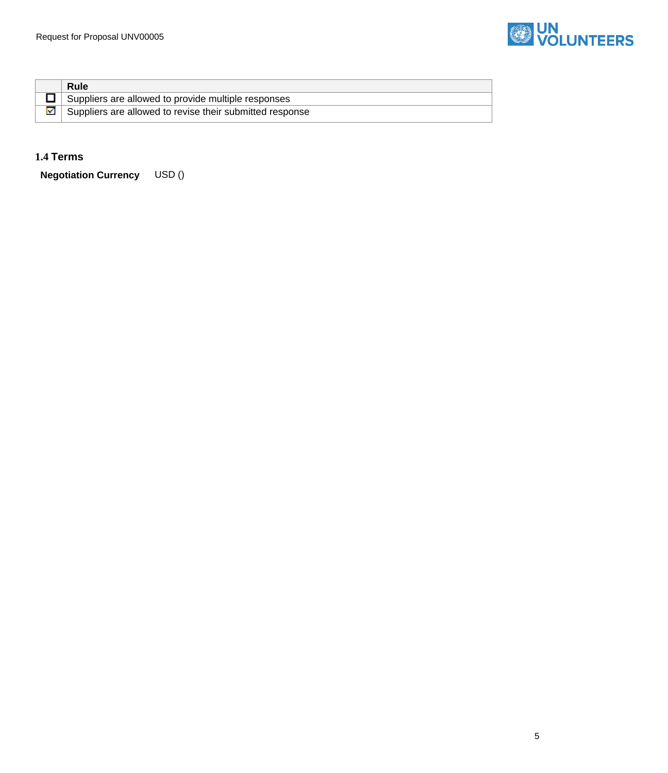

| Rule                                                     |
|----------------------------------------------------------|
| Suppliers are allowed to provide multiple responses      |
| Suppliers are allowed to revise their submitted response |

<span id="page-4-0"></span>**1.4 Terms**

**Negotiation Currency** USD ()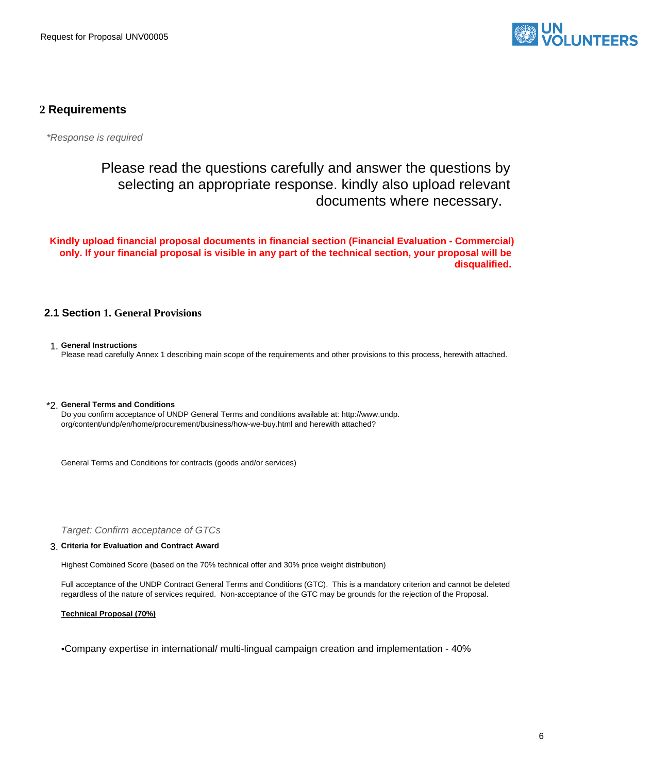

# <span id="page-5-0"></span>**2 Requirements**

\*Response is required

# Please read the questions carefully and answer the questions by selecting an appropriate response. kindly also upload relevant documents where necessary.

**Kindly upload financial proposal documents in financial section (Financial Evaluation - Commercial) only. If your financial proposal is visible in any part of the technical section, your proposal will be disqualified.** 

# <span id="page-5-1"></span>**2.1 Section 1. General Provisions**

1. **General Instructions** Please read carefully Annex 1 describing main scope of the requirements and other provisions to this process, herewith attached.

\*2. **General Terms and Conditions** Do you confirm acceptance of UNDP General Terms and conditions available at: http://www.undp. org/content/undp/en/home/procurement/business/how-we-buy.html and herewith attached?

General Terms and Conditions for contracts (goods and/or services)

Target: Confirm acceptance of GTCs

#### 3. **Criteria for Evaluation and Contract Award**

Highest Combined Score (based on the 70% technical offer and 30% price weight distribution)

Full acceptance of the UNDP Contract General Terms and Conditions (GTC). This is a mandatory criterion and cannot be deleted regardless of the nature of services required. Non-acceptance of the GTC may be grounds for the rejection of the Proposal.

### **Technical Proposal (70%)**

•Company expertise in international/ multi-lingual campaign creation and implementation - 40%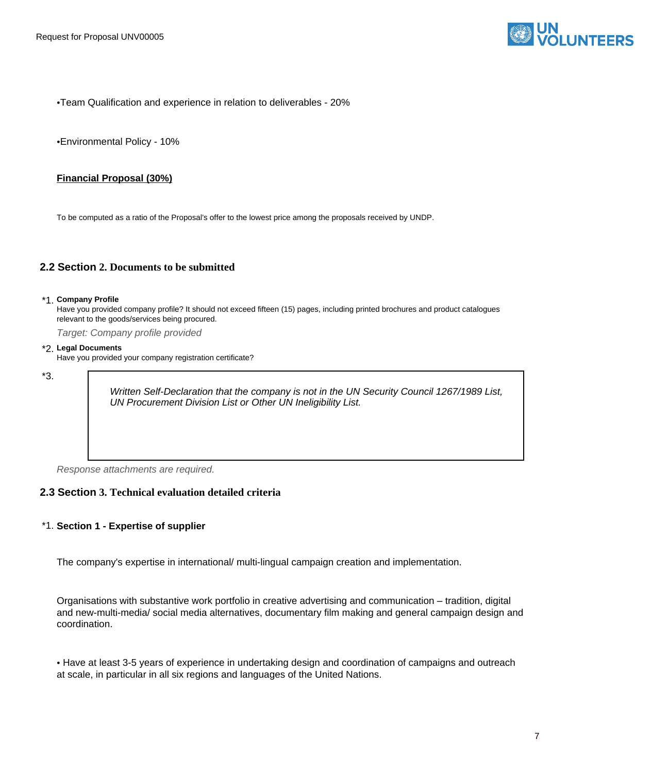

•Team Qualification and experience in relation to deliverables - 20%

•Environmental Policy - 10%

## **Financial Proposal (30%)**

To be computed as a ratio of the Proposal's offer to the lowest price among the proposals received by UNDP.

## <span id="page-6-0"></span>**2.2 Section 2. Documents to be submitted**

## \*1. **Company Profile**

Have you provided company profile? It should not exceed fifteen (15) pages, including printed brochures and product catalogues relevant to the goods/services being procured.

Target: Company profile provided

## \*2. **Legal Documents**

Have you provided your company registration certificate?

#### \*3.

Written Self-Declaration that the company is not in the UN Security Council 1267/1989 List, UN Procurement Division List or Other UN Ineligibility List.

Response attachments are required*.*

## <span id="page-6-1"></span>**2.3 Section 3. Technical evaluation detailed criteria**

## \*1. **Section 1 - Expertise of supplier**

The company's expertise in international/ multi-lingual campaign creation and implementation.

Organisations with substantive work portfolio in creative advertising and communication – tradition, digital and new-multi-media/ social media alternatives, documentary film making and general campaign design and coordination.

• Have at least 3-5 years of experience in undertaking design and coordination of campaigns and outreach at scale, in particular in all six regions and languages of the United Nations.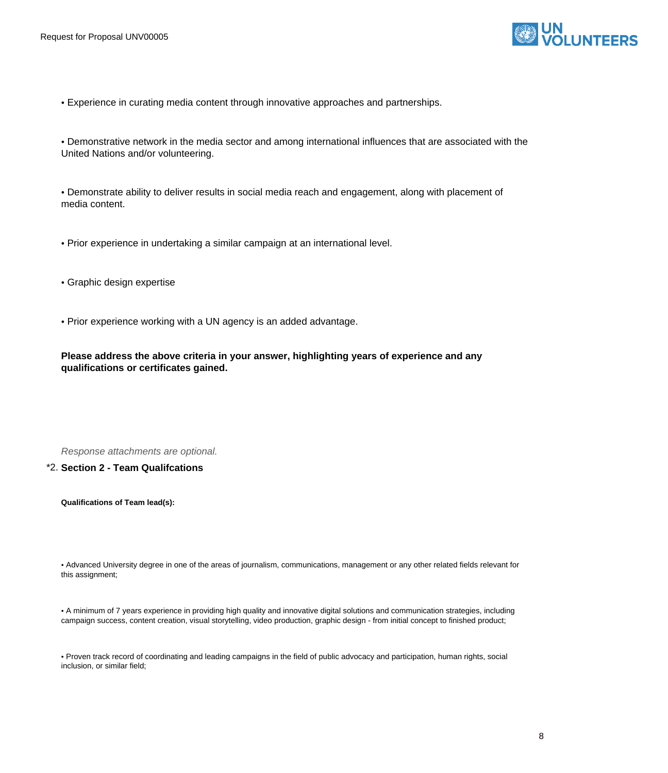

• Experience in curating media content through innovative approaches and partnerships.

• Demonstrative network in the media sector and among international influences that are associated with the United Nations and/or volunteering.

• Demonstrate ability to deliver results in social media reach and engagement, along with placement of media content.

- Prior experience in undertaking a similar campaign at an international level.
- Graphic design expertise
- Prior experience working with a UN agency is an added advantage.

**Please address the above criteria in your answer, highlighting years of experience and any qualifications or certificates gained.** 

Response attachments are optional*.*

\*2. **Section 2 - Team Qualifcations**

**Qualifications of Team lead(s):**

• Advanced University degree in one of the areas of journalism, communications, management or any other related fields relevant for this assignment;

• A minimum of 7 years experience in providing high quality and innovative digital solutions and communication strategies, including campaign success, content creation, visual storytelling, video production, graphic design - from initial concept to finished product;

• Proven track record of coordinating and leading campaigns in the field of public advocacy and participation, human rights, social inclusion, or similar field;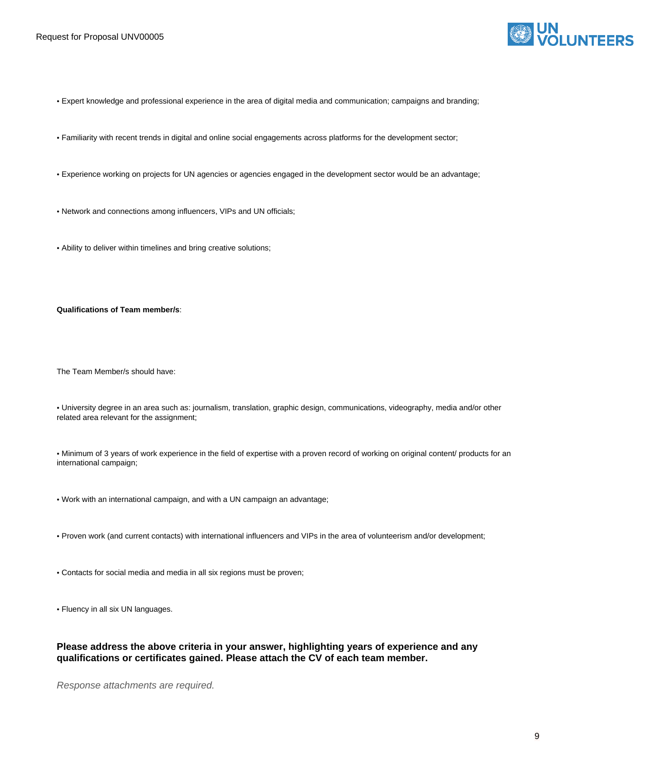

- Expert knowledge and professional experience in the area of digital media and communication; campaigns and branding;
- Familiarity with recent trends in digital and online social engagements across platforms for the development sector;
- Experience working on projects for UN agencies or agencies engaged in the development sector would be an advantage;
- Network and connections among influencers, VIPs and UN officials;
- Ability to deliver within timelines and bring creative solutions;

#### **Qualifications of Team member/s**:

The Team Member/s should have:

- University degree in an area such as: journalism, translation, graphic design, communications, videography, media and/or other related area relevant for the assignment;
- Minimum of 3 years of work experience in the field of expertise with a proven record of working on original content/ products for an international campaign;
- Work with an international campaign, and with a UN campaign an advantage;
- Proven work (and current contacts) with international influencers and VIPs in the area of volunteerism and/or development;
- Contacts for social media and media in all six regions must be proven;
- Fluency in all six UN languages.

**Please address the above criteria in your answer, highlighting years of experience and any qualifications or certificates gained. Please attach the CV of each team member.**

Response attachments are required*.*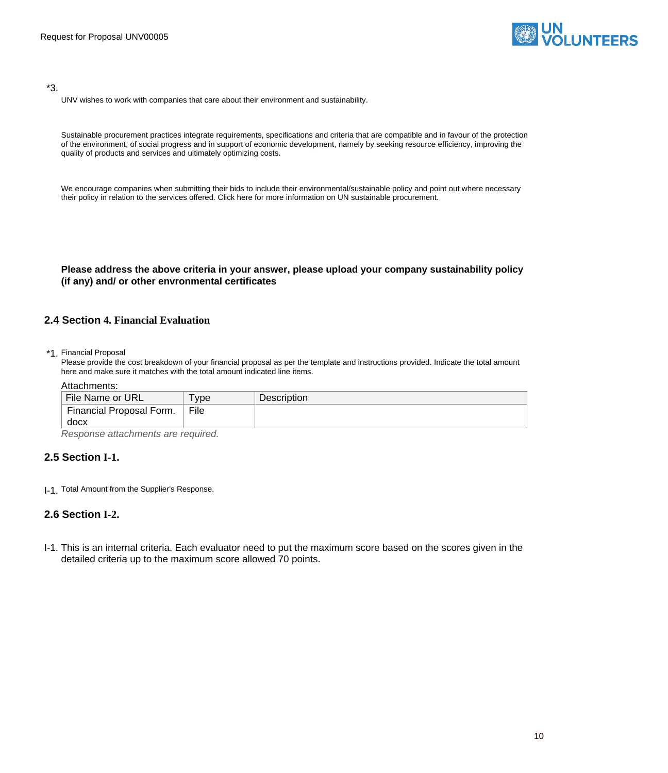

### \*3.

UNV wishes to work with companies that care about their environment and sustainability.

Sustainable procurement practices integrate requirements, specifications and criteria that are compatible and in favour of the protection of the environment, of social progress and in support of economic development, namely by seeking resource efficiency, improving the quality of products and services and ultimately optimizing costs.

We encourage companies when submitting their bids to include their environmental/sustainable policy and point out where necessary their policy in relation to the services offered. Click here for more information on UN sustainable procurement.

**Please address the above criteria in your answer, please upload your company sustainability policy (if any) and/ or other envronmental certificates**

# <span id="page-9-0"></span>**2.4 Section 4. Financial Evaluation**

\*1. Financial Proposal

Please provide the cost breakdown of your financial proposal as per the template and instructions provided. Indicate the total amount here and make sure it matches with the total amount indicated line items.

### Attachments:

| File Name or URL         | <b>vpe</b> | <b>Description</b> |
|--------------------------|------------|--------------------|
| Financial Proposal Form. | File       |                    |
| docx                     |            |                    |

Response attachments are required*.*

# <span id="page-9-1"></span>**2.5 Section I-1.**

I-1. Total Amount from the Supplier's Response.

# <span id="page-9-2"></span>**2.6 Section I-2.**

I-1. This is an internal criteria. Each evaluator need to put the maximum score based on the scores given in the detailed criteria up to the maximum score allowed 70 points.